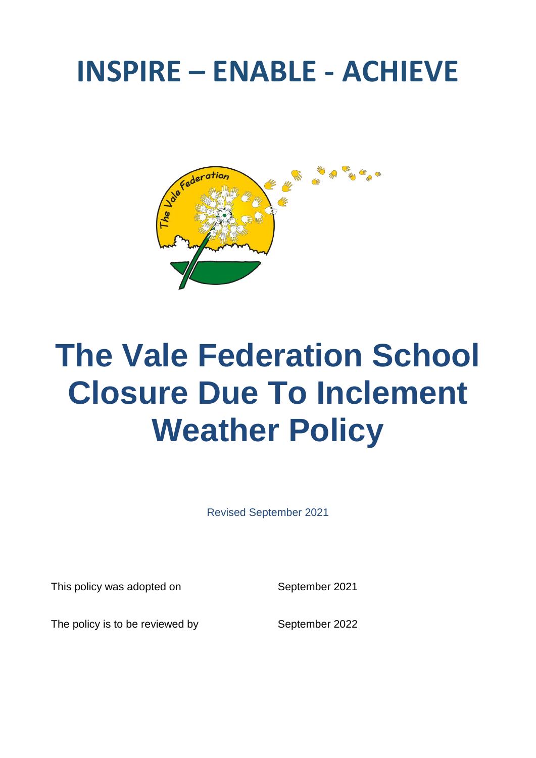## **INSPIRE – ENABLE - ACHIEVE**



## **The Vale Federation School Closure Due To Inclement Weather Policy**

Revised September 2021

This policy was adopted on September 2021

The policy is to be reviewed by September 2022